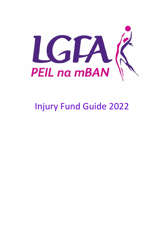

# Injury Fund Guide 2022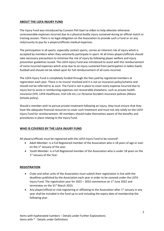## **ABOUT THE LGFA INJURY FUND**

The Injury Fund was introduced by Cumann Peil Gael na mBan to help alleviate otherwise unrecoverable expenses incurred due to a physical bodily injury sustained during an official match or training session. There is no legal obligation on the Association to provide such a Fund or on any club/county to pay for a players/officials medical expenses.

The participation in all sports, especially contact sports, carries an inherent risk of injury which is accepted by members when they voluntarily participate in sport. At all times players/officials should take necessary precautions to minimise the risk of injury by following player welfare and injury prevention guidelines issued. The LGFA Injury Fund was introduced to assist with the reimbursement of some incurred expenses which arise due to an injury sustained from participation in ladies Gaelic football and should not be relied upon for full reimbursement of all costs incurred.

The LGFA Injury Fund is completely funded through the fees paid by registered members at registration each year. There is no insurer involved and it is not an insurance policy/scheme and should not be referred to as such. The Fund is not in place to cover every expense incurred due to injury but to assist in reimbursing expenses not recoverable elsewhere, such as private health insurance (VHI, LAYA Healthcare, Irish Life etc.) or Personal Accident insurance policies (Allianz Schools policy).

Should a member wish to pursue private treatment following an injury, they must ensure that they have the adequate financial resources to cover such treatment and must not rely solely on the LGFA Injury Fund for reimbursement. All members should make themselves aware of the benefits and procedures in place relating to the Injury Fund.

## **WHO IS COVERED BY THE LGFA INJURY FUND**

All players/officials must be registered with the LGFA Injury Fund to be covered<sup>1</sup>.

- Adult Member: is a Full Registered member of the Association who is 18 years of age or over on the 1<sup>st</sup> January of the year.
- Youth Member: is a Full Registered member of the Association who is under 18 years on the 1<sup>st</sup> January of the Year.

## **REGISTRATION**

- Clubs and other units of the Association must submit their registration in line with the deadlines published by the Association each year in order to be covered under the LGFA Injury Fund. The registration year for  $2022 - 2033$  commences on  $1<sup>st</sup>$  June 2022 and terminates on the 31<sup>st</sup> March 2023.
- Any player/official or club registering or affiliating to the Association after  $1<sup>st</sup>$  January in any year shall be included in the fund up to and including the expiry date of membership the following year.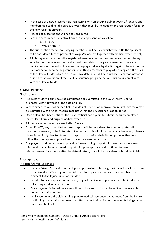- In the case of a new player/official registering with an existing club between  $1<sup>st</sup>$  January and membership deadline of a particular year, they must be included on the registration form for the new registration year.
- Refunds of subscriptions will not be considered.
- Fees are determined by Central Council and at present are as follows:
	- o Adult €25
	- o Juvenile/U18 €10
- The subscription fee for non-playing members shall be €25, which will entitle the applicant to be considered for the payment of wages/salary lost together with medical expenses only.
- All playing members should be registered members before the commencement of playing activities for the relevant year and should the club fail to register a member. There are implications for the unit in the event that a player takes a legal action against the unit, as the unit maybe found to be negligent for permitting a member to play which is against the rules of the Official Guide, which in turn will invalidate any Liability Insurance claim that may arise as it is a strict condition of the Liability Insurance program that all units are in compliance with the Official Guide.

# **CLAIMS PROCESS**

## Notification

- Preliminary Claim Forms must be completed and submitted to the LGFA Injury Fund Coordinator, within 8 weeks of the date of injury.
- Where expenses will not exceed €200 and do not need prior approval, an Injury Claim form may be submitted with original medical receipts within the 8 weeks notification period
- Once a claim has been notified, the player/official has 2 years to submit the fully completed Injury Claim Form and original medical expenses
- All claims are permanently closed after 2 years
- As per Rule 77, any player that returns to sport will be considered to have completed all treatment necessary to be fit to return to sport and this will close their claim. However, where a player is medically directed to return to sport as part of a rehabilitation protocol they must follow the prior approval procedure to have the claim remain open.
- Any player that does not seek approval before returning to sport will have their claim closed. If it is found that a player returned to sport with prior approval and continues to seek reimbursement for expense after the date of return, this will be considered a fraudulent claim.

## Prior Approval

## Medical/Dental Expenses

- For any Private Medical Treatment prior approval must be sought with a referral letter from a medical doctor\* or physiotherapist as and a request for financial assistance from the claimant to the Injury Fund Coordinator
- In order to have expenses reimbursed, original medical receipts must be submitted with a fully completed Injury Claim Form.
- Once payment is issued the claim will then close and no further benefit will be available under that claim number
- In all cases where the claimant has private medical insurance, a statement from the insurer confirming that a claim has been submitted under their policy for the receipts being claimed must be submitted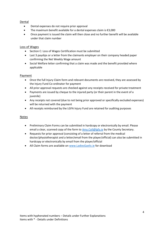## Dental

- Dental expenses do not require prior approval
- The maximum benefit available for a dental expenses claim is €3,000
- Once payment is issued the claim will then close and no further benefit will be available under that claim number

## Loss of Wages

- Section C: Loss of Wages Certification must be submitted
- Last 3 payslips or a letter from the claimants employer on their company headed paper confirming the Net Weekly Wage amount
- Social Welfare letter confirming that a claim was made and the benefit provided where applicable

#### **Payment**

- Once the full Injury Claim form and relevant documents are received, they are assessed by the Injury Fund Co-ordinator for payment
- All prior approval requests are checked against any receipts received for private treatment
- Payments are issued by cheque to the injured party (or their parent in the event of a juvenile)
- Any receipts not covered (due to not being prior approved or specifically excluded expenses) will be returned with the payment
- All receipts reimbursed by the LGFA Injury Fund are retained for auditing purposes

## Notes

- Preliminary Claim Forms can be submitted in hardcopy or electronically by email. Please email a clear, scanned copy of the form to [Amy.Coll@lgfa.ie](mailto:Amy.Coll@lgfa.ie) by the County Secretary.
- Requests for prior approval (consisting of a letter of referral from the medical doctor/physiotherapist and a letter/email from the player/official) can also be submitted in hardcopy or electronically by email from the player/official
- All Claim forms are available on [www.LadiesGaelic.ie](http://www.ladiesgaelic.ie/) for download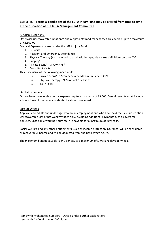# **BENEFITS – Terms & conditions of the LGFA Injury Fund may be altered from time to time at the discretion of the LGFA Management Committee**

#### Medical Expenses:

Otherwise unrecoverable inpatient\* and outpatient\* medical expenses are covered up to a maximum of €5,500.00

Medical Expenses covered under the LGFA Injury Fund:

- 1. GP visits
- 2. Accident and Emergency attendance
- 3. Physical Therapy (Also referred to as physiotherapy, please see definitions on page 7)\*
- 4. Surgery<sup>2</sup>
- 5. Private Scans\* X-ray/MRI <sup>2</sup>
- 6. Consultant Visits<sup>2</sup>

This is inclusive of the following inner limits:

- i. Private Scans\*: 1 Scan per claim. Maximum Benefit €295
- ii. Physical Therapy\*: 90% of first 6 sessions
- iii. A&E\*: €100

#### Dental Expenses

Otherwise unrecoverable dental expenses up to a maximum of €3,000. Dental receipts must include a breakdown of the dates and dental treatments received.

#### Loss of Wages

Applicable to adults and under-age who are in employment and who have paid the  $\epsilon$ 25 Subscription<sup>3</sup> Unrecoverable loss of net weekly wages only, excluding additional payments such as overtime, bonuses, unsociable working hours etc. are payable for a maximum of 20 weeks.

Social Welfare and any other entitlements (such as income protection insurance) will be considered as recoverable income and will be deducted from the Basic Wage figure.

The maximum benefit payable is  $\epsilon$ 40 per day to a maximum of 5 working days per week.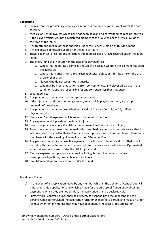## **Exclusions**

- 1. Claims were the preliminary or injury claim form is received beyond 8 weeks after the date of injury
- 2. Medical or Dental Invoices which have not been paid and no corresponding receipt received
- 3. If the player/official was not a registered member of the LGFA as per the Official Guide at the time of the injury
- 4. Any treatment outside of those specified under the Benefits section of this document
- 5. Any expenses submitted 2 years after the date of injury
- 6. Travel expenses, prescriptions, injections and medical aids are NOT covered under the injury Fund.
- 7. The Injury Fund shall not apply in the case of a player/official:
	- a. Who is injured during a game as a result of an assault wherein the claimant has been the aggressor
	- b. Whose injury arises from a pre-existing physical defect or infirmity or from the use of alcohol or drugs
	- c. Players who do not wear mouth guards.
	- d. Who may be pregnant, suffering from concussion etc, any player who plays in this condition is entirely responsible for any consequences that may arise.
- 8. Legal Expenses
- 9. Any private treatment which was not prior approved
- 10. If the injury occurs during a training session/match while playing on snow, ice or a pitch deemed unfit to play on
- 11. Any private treatment not prescribed by a Medical Doctor / Consultant / Qualified physiotherapist
- 12. Medical or Dental expenses which exceed the benefits specified
- 13. Any expenses which pre-date the date of injury
- 14. Loss of wages claim where the claimant was unemployed at the date of injury
- 15. Protective equipment needs to be medically prescribed by your doctor who is aware that it will be worn to play Ladies Gaelic Football and not pose a hazard to other players, then there is no issue with the wearing of same from the LGFA Injury Fund
- 16. Any person who requires corrective eyewear to participate in Ladies Gaelic Football should consult with their optometrist and review options to ensure safe participation. Optometrist expenses are not covered under the LGFA Injury Fund.
- 17. Medical expenses not previously defined including, but not limited to, crutches, prescriptions, Injections, prehab boots or air boots
- 18. Gym Memberships are not covered under the Fund

#### Fraudulent Claims

- a) In the event of an application made by any member which in the opinion of Central Council is not a bona fide application and which is made for the purpose of fraudulently obtaining payment to which they are not entitled, the application shall be declared void.
- b) Furthermore, Central Council shall be at liberty to suspend both the applicant and the persons who countersigned the application form for an indefinite period, and make an order for repayment of any monies that may have been made in respect of the application.